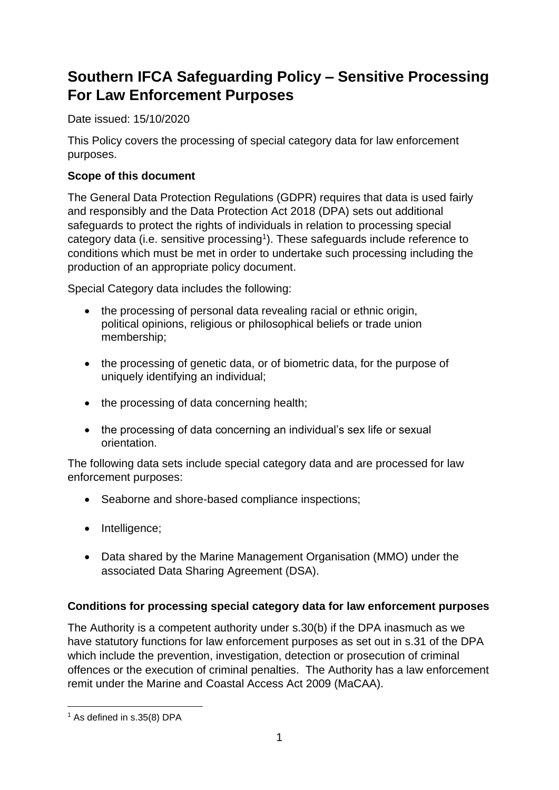# **Southern IFCA Safeguarding Policy – Sensitive Processing For Law Enforcement Purposes**

Date issued: 15/10/2020

This Policy covers the processing of special category data for law enforcement purposes.

## **Scope of this document**

The General Data Protection Regulations (GDPR) requires that data is used fairly and responsibly and the Data Protection Act 2018 (DPA) sets out additional safeguards to protect the rights of individuals in relation to processing special category data (i.e. sensitive processing<sup>1</sup>). These safeguards include reference to conditions which must be met in order to undertake such processing including the production of an appropriate policy document.

Special Category data includes the following:

- the processing of personal data revealing racial or ethnic origin, political opinions, religious or philosophical beliefs or trade union membership;
- the processing of genetic data, or of biometric data, for the purpose of uniquely identifying an individual;
- the processing of data concerning health;
- the processing of data concerning an individual's sex life or sexual orientation.

The following data sets include special category data and are processed for law enforcement purposes:

- Seaborne and shore-based compliance inspections;
- Intelligence;
- Data shared by the Marine Management Organisation (MMO) under the associated Data Sharing Agreement (DSA).

### **Conditions for processing special category data for law enforcement purposes**

The Authority is a competent authority under s.30(b) if the DPA inasmuch as we have statutory functions for law enforcement purposes as set out in s.31 of the DPA which include the prevention, investigation, detection or prosecution of criminal offences or the execution of criminal penalties. The Authority has a law enforcement remit under the Marine and Coastal Access Act 2009 (MaCAA).

<sup>&</sup>lt;sup>1</sup> As defined in s.35(8) DPA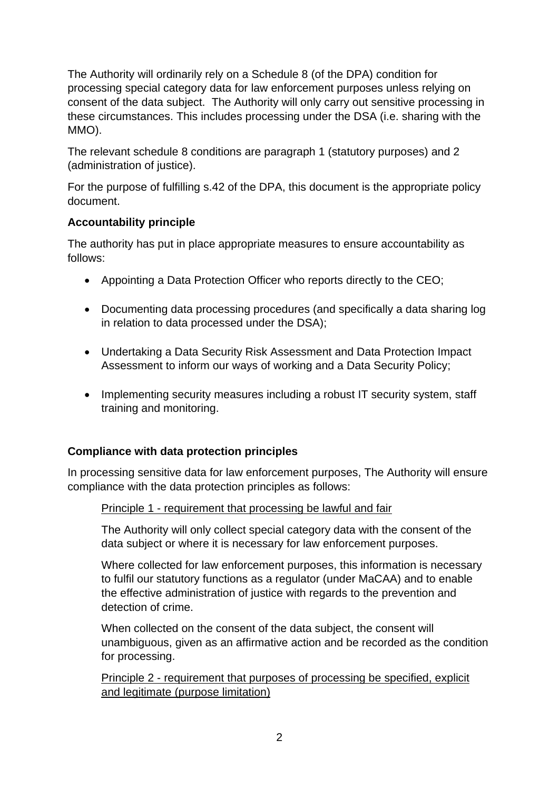The Authority will ordinarily rely on a Schedule 8 (of the DPA) condition for processing special category data for law enforcement purposes unless relying on consent of the data subject. The Authority will only carry out sensitive processing in these circumstances. This includes processing under the DSA (i.e. sharing with the MMO).

The relevant schedule 8 conditions are paragraph 1 (statutory purposes) and 2 (administration of justice).

For the purpose of fulfilling s.42 of the DPA, this document is the appropriate policy document.

## **Accountability principle**

The authority has put in place appropriate measures to ensure accountability as follows:

- Appointing a Data Protection Officer who reports directly to the CEO;
- Documenting data processing procedures (and specifically a data sharing log in relation to data processed under the DSA);
- Undertaking a Data Security Risk Assessment and Data Protection Impact Assessment to inform our ways of working and a Data Security Policy;
- Implementing security measures including a robust IT security system, staff training and monitoring.

## **Compliance with data protection principles**

In processing sensitive data for law enforcement purposes, The Authority will ensure compliance with the data protection principles as follows:

### Principle 1 - requirement that processing be lawful and fair

The Authority will only collect special category data with the consent of the data subject or where it is necessary for law enforcement purposes.

Where collected for law enforcement purposes, this information is necessary to fulfil our statutory functions as a regulator (under MaCAA) and to enable the effective administration of justice with regards to the prevention and detection of crime.

When collected on the consent of the data subject, the consent will unambiguous, given as an affirmative action and be recorded as the condition for processing.

Principle 2 - requirement that purposes of processing be specified, explicit and legitimate (purpose limitation)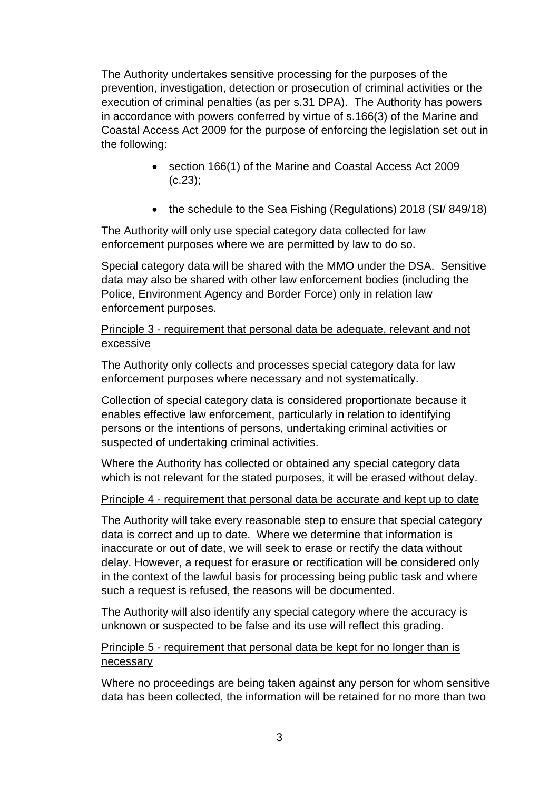The Authority undertakes sensitive processing for the purposes of the prevention, investigation, detection or prosecution of criminal activities or the execution of criminal penalties (as per s.31 DPA). The Authority has powers in accordance with powers conferred by virtue of s.166(3) of the Marine and Coastal Access Act 2009 for the purpose of enforcing the legislation set out in the following:

- section 166(1) of the Marine and Coastal Access Act 2009 (c.23);
- the schedule to the Sea Fishing (Regulations) 2018 (SI/849/18)

The Authority will only use special category data collected for law enforcement purposes where we are permitted by law to do so.

Special category data will be shared with the MMO under the DSA. Sensitive data may also be shared with other law enforcement bodies (including the Police, Environment Agency and Border Force) only in relation law enforcement purposes.

#### Principle 3 - requirement that personal data be adequate, relevant and not excessive

The Authority only collects and processes special category data for law enforcement purposes where necessary and not systematically.

Collection of special category data is considered proportionate because it enables effective law enforcement, particularly in relation to identifying persons or the intentions of persons, undertaking criminal activities or suspected of undertaking criminal activities.

Where the Authority has collected or obtained any special category data which is not relevant for the stated purposes, it will be erased without delay.

### Principle 4 - requirement that personal data be accurate and kept up to date

The Authority will take every reasonable step to ensure that special category data is correct and up to date. Where we determine that information is inaccurate or out of date, we will seek to erase or rectify the data without delay. However, a request for erasure or rectification will be considered only in the context of the lawful basis for processing being public task and where such a request is refused, the reasons will be documented.

The Authority will also identify any special category where the accuracy is unknown or suspected to be false and its use will reflect this grading.

#### Principle 5 - requirement that personal data be kept for no longer than is necessary

Where no proceedings are being taken against any person for whom sensitive data has been collected, the information will be retained for no more than two